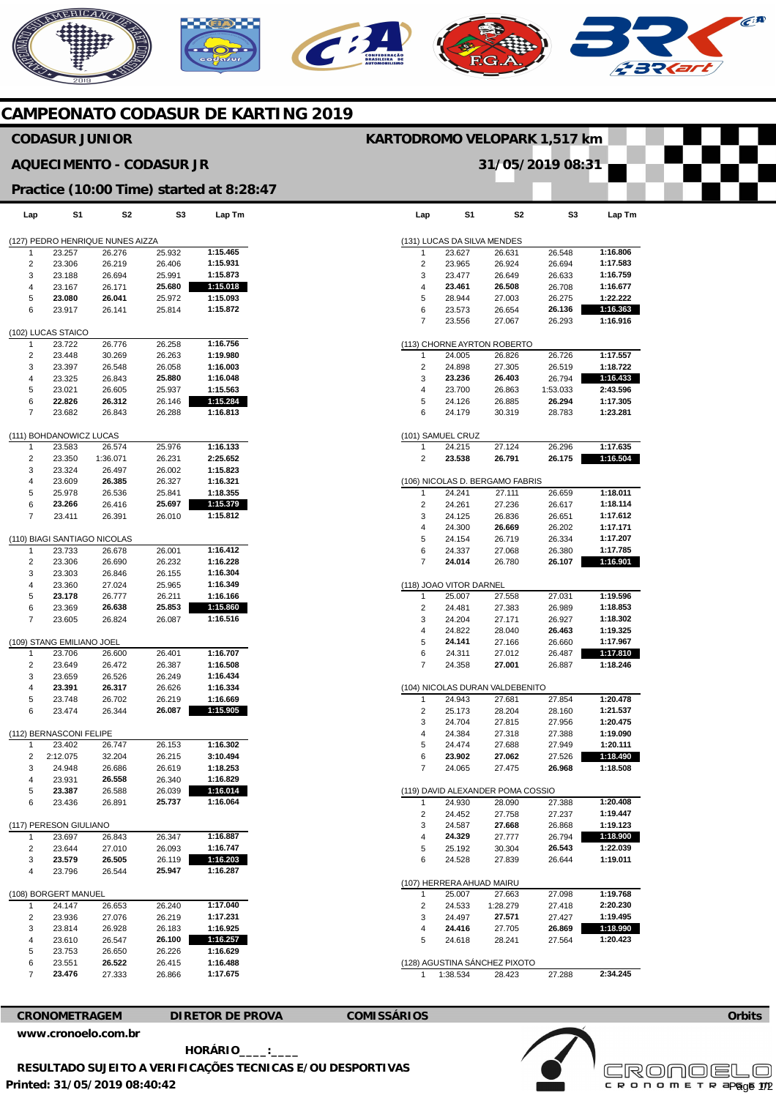## **MERICANO**  $\widehat{C}^{\text{A}}$ **CAMPEONATO CODASUR DE KARTING 2019**

## **Lap**  (131) LUCAS DA SILVA MENDES 1 2 3 4 5 6 7 (113) CHORNE AYRTON ROBERTO 1  $\overline{2}$ 3 4 5 6 (101) SAMUEL CRUZ 1  $\overline{2}$ (106) NICOLAS D. BERGAMO FABRIS <u>ا</u> 2 3 4 5 6 7 (118) JOAO VITOR DARNEL 7 2 3 4 5 6 7 (104) NICOLAS DURAN VALDEBENITO 1  $\overline{2}$ 3 4 5 6 7 (119) DAVID ALEXANDER POMA COSSIO 1  $\mathfrak{p}$  $\overline{a}$ 4 5 6 (107) HERRERA AHUAD MAIRU 1  $\overline{2}$ 3 4 5 (128) AGUSTINA SÁNCHEZ PIXOTO 1 **S1**  23.627 23.965 23.477 **23.461**  28.944 23.573 23.556 24.005 24.898 **23.236**  23.700 24.126 24.179 24.215 **23.538**  24.241 24.261 24.125 24.300 24.154 24.337 **24.014**  25.007 24.481 24.204 24.822 **24.141**  24.311 24.358 24.943 25.173 24.704 24.384 24.474 **23.902**  24.065 24.930 24.452 24.587 **24.329**  25.192 24.528 25.007 24.533 24.497 **24.416**  24.618 1:38.534 **S2**  26.631 26.924 26.649 **26.508**  27.003 26.654 27.067 26.826 27.305 **26.403**  26.863 26.885 30.319 27.124 **26.791**  27.111 27.236 26.836 **26.669**  26.719 27.068 26.780 27.558 27.383 27.171 28.040 27.166 27.012 **27.001**  27.681 28.204 27.815 27.318 27.688 **27.062**  27.475 28.090 27.758 **27.668**  27.777 30.304 27.839 27.663 1:28.279 **27.571**  27.705 28.241 28.423 **S3**  26.548 26.694 26.633 26.708 26.275 **26.136**  26.293 26.726 26.519 26.794 1:53.033 **26.294**  28.783 26.296 **26.175**  26.659 26.617 26.651 26.202 26.334 26.380 **26.107**  27.031 26.989 26.927 **26.463**  26.660 26.487 26.887 27.854 28.160 27.956 27.388 27.949 27.526 **26.968**  27.388 27.237 26.868 26.794 **26.543**  26.644 27.098 27.418 27.427 **26.869**  27.564 27.288 **Lap Tm 1:16.806 1:17.583 1:16.759 1:16.677 1:22.222 1:16.363 1:16.916 1:17.557 1:18.722 1:16.433 2:43.596 1:17.305 1:23.281 1:17.635 1:16.504 1:18.011 1:18.114 1:17.612 1:17.171 1:17.207 1:17.785 1:16.901 1:19.596 1:18.853 1:18.302 1:19.325 1:17.967 1:17.810 1:18.246 1:20.478 1:21.537 1:20.475 1:19.090 1:20.111 1:18.490 1:18.508 1:20.408 1:19.447 1:19.123 1:18.900 1:22.039 1:19.011 1:19.768 2:20.230 1:19.495 1:18.990 1:20.423 2:34.245 Lap**  (127) PEDRO HENRIQUE NUNES AIZZA 1 2 3 4 5 6 (102) LUCAS STAICO 1  $\mathfrak{p}$ 3 4 5 6 7 (111) BOHDANOWICZ LUCAS 1 2 3 4 5 6 7 (110) BIAGI SANTIAGO NICOLAS 1  $\overline{2}$  $\overline{a}$ 4 5 6 7 (109) STANG EMILIANO JOEL 1  $\overline{2}$ 3 4 5 6 (112) BERNASCONI FELIPE 1  $\Omega$ 3 4 5 6 (117) PERESON GIULIANO 1 2 3 4 (108) BORGERT MANUEL 1  $\overline{2}$ 3 4 5 6 7 **S1**  23.257 23.306 23.188 23.167 **23.080**  23.917 23.722 23.448 23.397 23.325 23.021 **22.826**  23.682 23.583 23.350 23.324 23.609 25.978 **23.266**  23.411 23.733 23.306 23.303 23.360 **23.178**  23.369 23.605 23.706 23.649 23.659 **23.391**  23.748 23.474 23.402 2:12.075 24.948 23.931 **23.387**  23.436 23.697 23.644 **23.579**  23.796 24.147 23.936 23.814 23.610 23.753 23.551 **23.476 S2**  26.276 26.219 26.694 26.171 **26.041**  26.141 26.776 30.269 26.548 26.843 26.605 **26.312**  26.843 26.574 1:36.071 26.497 **26.385**  26.536 26.416 26.391 26.678 26.690 26.846 27.024 26.777 **26.638**  26.824 26.600 26.472 26.526 **26.317**  26.702 26.344 26.747 32.204 26.686 **26.558**  26.588 26.891 26.843 27.010 **26.505**  26.544 26.653 27.076 26.928 26.547 26.650 **26.522**  27.333 **S3**  25.932 26.406 25.991 **25.680**  25.972 25.814 26.258 26.263 26.058 **25.880**  25.937 26.146 26.288 25.976 26.231 26.002 26.327 25.841 **25.697**  26.010 26.001 26.232 26.155 25.965 26.211 **25.853**  26.087 26.401 26.387 26.249 26.626 26.219 **26.087**  26.153 26.215 26.619 26.340 26.039 **25.737**  26.347 26.093 26.119 **25.947**  26.240 26.219 26.183 **26.100**  26.226 26.415 26.866 **Lap Tm 1:15.465 1:15.931 1:15.873 1:15.018 1:15.093 1:15.872 1:16.756 1:19.980 1:16.003 1:16.048 1:15.563 1:15.284 1:16.813 1:16.133 2:25.652 1:15.823 1:16.321 1:18.355 1:15.379 1:15.812 1:16.412 1:16.228 1:16.304 1:16.349 1:16.166 1:15.860 1:16.516 1:16.707 1:16.508 1:16.434 1:16.334 1:16.669 1:15.905 1:16.302 3:10.494 1:18.253 1:16.829 1:16.014 1:16.064 1:16.887 1:16.747 1:16.203 1:16.287 1:17.040 1:17.231 1:16.925 1:16.257 1:16.629 1:16.488 1:17.675 CODASUR JUNIOR AQUECIMENTO - CODASUR JR Practice (10:00 Time) started at 8:28:47 KARTODROMO VELOPARK 1,517 km 31/05/2019 08:31**

**CRONOMETRAGEM DIRETOR DE PROVA COMISSÁRIOS** 

**Orbits** 

**Printed: 31/05/2019 08:40:42 [www.cronoelo.com.br](http://www.cronoelo.com.br) HORÁRIO\_\_\_\_:\_\_\_\_ RESULTADO SUJEITO A VERIFICAÇÕES TECNICAS E/OU DESPORTIVAS** 

**Licensed to: Cronoelo**  c R O N O M E T R apg<sub>0</sub>6 172